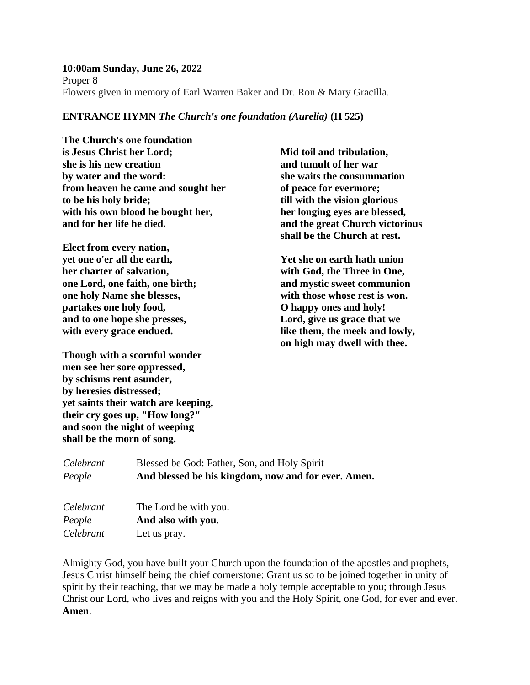**10:00am Sunday, June 26, 2022** Proper 8 Flowers given in memory of Earl Warren Baker and Dr. Ron & Mary Gracilla.

### **ENTRANCE HYMN** *The Church's one foundation (Aurelia)* **(H 525)**

**The Church's one foundation is Jesus Christ her Lord; she is his new creation by water and the word: from heaven he came and sought her to be his holy bride; with his own blood he bought her, and for her life he died.**

**Elect from every nation, yet one o'er all the earth, her charter of salvation, one Lord, one faith, one birth; one holy Name she blesses, partakes one holy food, and to one hope she presses, with every grace endued.**

**Though with a scornful wonder men see her sore oppressed, by schisms rent asunder, by heresies distressed; yet saints their watch are keeping, their cry goes up, "How long?" and soon the night of weeping shall be the morn of song.**

**Mid toil and tribulation, and tumult of her war she waits the consummation of peace for evermore; till with the vision glorious her longing eyes are blessed, and the great Church victorious shall be the Church at rest.**

**Yet she on earth hath union with God, the Three in One, and mystic sweet communion with those whose rest is won. O happy ones and holy! Lord, give us grace that we like them, the meek and lowly, on high may dwell with thee.**

| Celebrant | Blessed be God: Father, Son, and Holy Spirit        |
|-----------|-----------------------------------------------------|
| People    | And blessed be his kingdom, now and for ever. Amen. |
|           |                                                     |

| Celebrant | The Lord be with you. |
|-----------|-----------------------|
| People    | And also with you.    |
| Celebrant | Let us pray.          |

Almighty God, you have built your Church upon the foundation of the apostles and prophets, Jesus Christ himself being the chief cornerstone: Grant us so to be joined together in unity of spirit by their teaching, that we may be made a holy temple acceptable to you; through Jesus Christ our Lord, who lives and reigns with you and the Holy Spirit, one God, for ever and ever. **Amen**.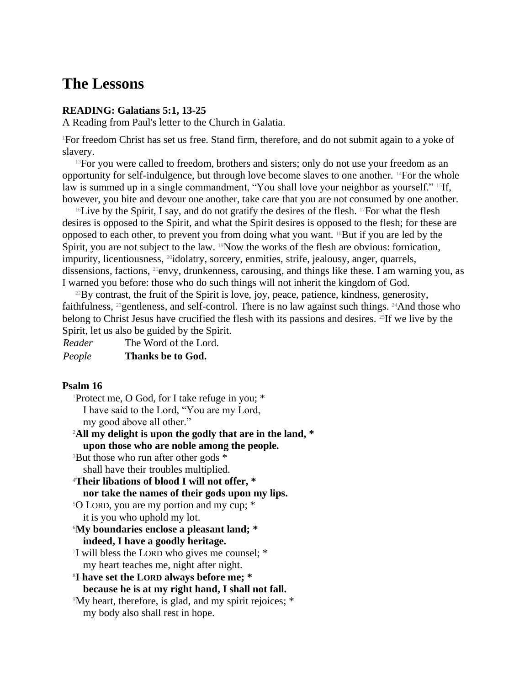# **The Lessons**

### **READING: Galatians 5:1, 13-25**

A Reading from Paul's letter to the Church in Galatia.

<sup>1</sup>For freedom Christ has set us free. Stand firm, therefore, and do not submit again to a yoke of slavery.

 $13$  For you were called to freedom, brothers and sisters; only do not use your freedom as an opportunity for self-indulgence, but through love become slaves to one another. 14For the whole law is summed up in a single commandment, "You shall love your neighbor as yourself." <sup>15</sup>If, however, you bite and devour one another, take care that you are not consumed by one another.

<sup>16</sup>Live by the Spirit, I say, and do not gratify the desires of the flesh. <sup>17</sup>For what the flesh desires is opposed to the Spirit, and what the Spirit desires is opposed to the flesh; for these are opposed to each other, to prevent you from doing what you want. 18But if you are led by the Spirit, you are not subject to the law. <sup>19</sup>Now the works of the flesh are obvious: fornication, impurity, licentiousness, <sup>20</sup>idolatry, sorcery, enmities, strife, jealousy, anger, quarrels, dissensions, factions, 21envy, drunkenness, carousing, and things like these. I am warning you, as I warned you before: those who do such things will not inherit the kingdom of God.

 $^{22}$ By contrast, the fruit of the Spirit is love, joy, peace, patience, kindness, generosity, faithfulness, 23gentleness, and self-control. There is no law against such things. 24And those who belong to Christ Jesus have crucified the flesh with its passions and desires. <sup>25</sup>If we live by the Spirit, let us also be guided by the Spirit.

| Reader | The Word of the Lord. |
|--------|-----------------------|
| People | Thanks be to God.     |

### **Psalm 16**

<sup>1</sup>Protect me, O God, for I take refuge in you; \* I have said to the Lord, "You are my Lord, my good above all other."

**<sup>2</sup>All my delight is upon the godly that are in the land, \* upon those who are noble among the people.**

<sup>3</sup>But those who run after other gods \* shall have their troubles multiplied.

**<sup>4</sup>Their libations of blood I will not offer, \***

**nor take the names of their gods upon my lips.**

<sup>5</sup>O LORD, you are my portion and my cup; \* it is you who uphold my lot.

**<sup>6</sup>My boundaries enclose a pleasant land; \* indeed, I have a goodly heritage.**

7 I will bless the LORD who gives me counsel; \* my heart teaches me, night after night.

**8 I have set the LORD always before me; \* because he is at my right hand, I shall not fall.**

<sup>9</sup>My heart, therefore, is glad, and my spirit rejoices; \* my body also shall rest in hope.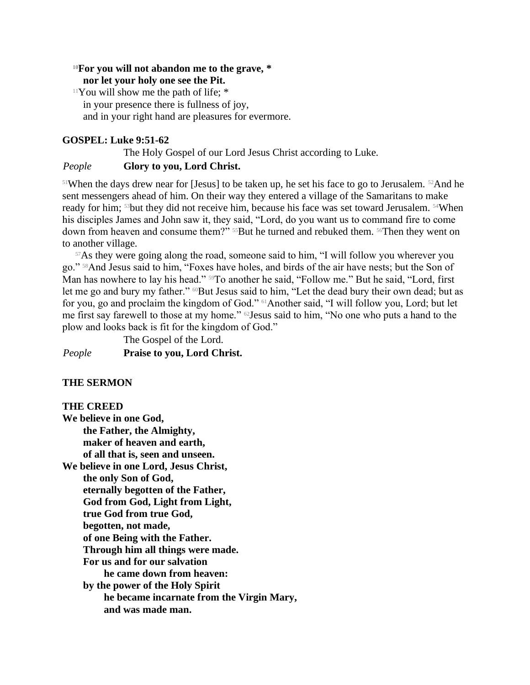### **<sup>10</sup>For you will not abandon me to the grave, \* nor let your holy one see the Pit.**

 $11$ You will show me the path of life;  $*$ in your presence there is fullness of joy, and in your right hand are pleasures for evermore.

# **GOSPEL: Luke 9:51-62**

The Holy Gospel of our Lord Jesus Christ according to Luke. *People* **Glory to you, Lord Christ.**

<sup>51</sup>When the days drew near for [Jesus] to be taken up, he set his face to go to Jerusalem. <sup>52</sup>And he sent messengers ahead of him. On their way they entered a village of the Samaritans to make ready for him; 53but they did not receive him, because his face was set toward Jerusalem. 54When his disciples James and John saw it, they said, "Lord, do you want us to command fire to come down from heaven and consume them?" <sup>55</sup>But he turned and rebuked them. <sup>56</sup>Then they went on to another village.

<sup>57</sup>As they were going along the road, someone said to him, "I will follow you wherever you go." 58And Jesus said to him, "Foxes have holes, and birds of the air have nests; but the Son of Man has nowhere to lay his head." <sup>59</sup>To another he said, "Follow me." But he said, "Lord, first let me go and bury my father." <sup>60</sup>But Jesus said to him, "Let the dead bury their own dead; but as for you, go and proclaim the kingdom of God." 61Another said, "I will follow you, Lord; but let me first say farewell to those at my home." 62Jesus said to him, "No one who puts a hand to the plow and looks back is fit for the kingdom of God."

The Gospel of the Lord. *People* **Praise to you, Lord Christ.**

### **THE SERMON**

### **THE CREED**

**We believe in one God, the Father, the Almighty, maker of heaven and earth, of all that is, seen and unseen. We believe in one Lord, Jesus Christ, the only Son of God, eternally begotten of the Father, God from God, Light from Light, true God from true God, begotten, not made, of one Being with the Father. Through him all things were made. For us and for our salvation he came down from heaven: by the power of the Holy Spirit he became incarnate from the Virgin Mary, and was made man.**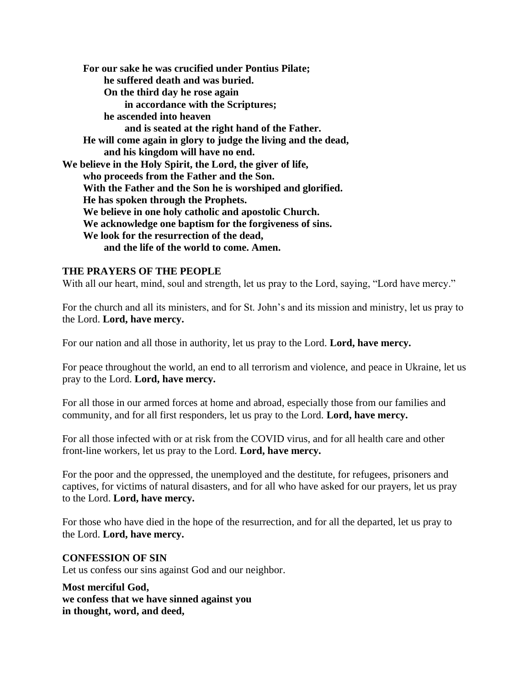**For our sake he was crucified under Pontius Pilate; he suffered death and was buried. On the third day he rose again in accordance with the Scriptures; he ascended into heaven and is seated at the right hand of the Father. He will come again in glory to judge the living and the dead, and his kingdom will have no end. We believe in the Holy Spirit, the Lord, the giver of life, who proceeds from the Father and the Son. With the Father and the Son he is worshiped and glorified. He has spoken through the Prophets. We believe in one holy catholic and apostolic Church. We acknowledge one baptism for the forgiveness of sins. We look for the resurrection of the dead, and the life of the world to come. Amen.**

### **THE PRAYERS OF THE PEOPLE**

With all our heart, mind, soul and strength, let us pray to the Lord, saying, "Lord have mercy."

For the church and all its ministers, and for St. John's and its mission and ministry, let us pray to the Lord. **Lord, have mercy.**

For our nation and all those in authority, let us pray to the Lord. **Lord, have mercy.**

For peace throughout the world, an end to all terrorism and violence, and peace in Ukraine, let us pray to the Lord. **Lord, have mercy.**

For all those in our armed forces at home and abroad, especially those from our families and community, and for all first responders, let us pray to the Lord. **Lord, have mercy.**

For all those infected with or at risk from the COVID virus, and for all health care and other front-line workers, let us pray to the Lord. **Lord, have mercy.**

For the poor and the oppressed, the unemployed and the destitute, for refugees, prisoners and captives, for victims of natural disasters, and for all who have asked for our prayers, let us pray to the Lord. **Lord, have mercy.**

For those who have died in the hope of the resurrection, and for all the departed, let us pray to the Lord. **Lord, have mercy.**

**CONFESSION OF SIN** Let us confess our sins against God and our neighbor.

**Most merciful God, we confess that we have sinned against you in thought, word, and deed,**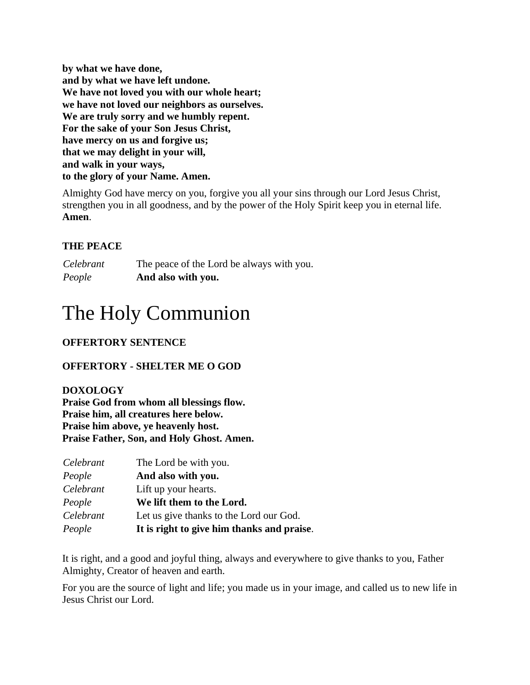**by what we have done, and by what we have left undone. We have not loved you with our whole heart; we have not loved our neighbors as ourselves. We are truly sorry and we humbly repent. For the sake of your Son Jesus Christ, have mercy on us and forgive us; that we may delight in your will, and walk in your ways, to the glory of your Name. Amen.**

Almighty God have mercy on you, forgive you all your sins through our Lord Jesus Christ, strengthen you in all goodness, and by the power of the Holy Spirit keep you in eternal life. **Amen**.

# **THE PEACE**

*Celebrant* The peace of the Lord be always with you. *People* **And also with you.**

# The Holy Communion

# **OFFERTORY SENTENCE**

# **OFFERTORY - SHELTER ME O GOD**

# **DOXOLOGY**

**Praise God from whom all blessings flow. Praise him, all creatures here below. Praise him above, ye heavenly host. Praise Father, Son, and Holy Ghost. Amen.**

| Celebrant | The Lord be with you.                      |
|-----------|--------------------------------------------|
| People    | And also with you.                         |
| Celebrant | Lift up your hearts.                       |
| People    | We lift them to the Lord.                  |
| Celebrant | Let us give thanks to the Lord our God.    |
| People    | It is right to give him thanks and praise. |

It is right, and a good and joyful thing, always and everywhere to give thanks to you, Father Almighty, Creator of heaven and earth.

For you are the source of light and life; you made us in your image, and called us to new life in Jesus Christ our Lord.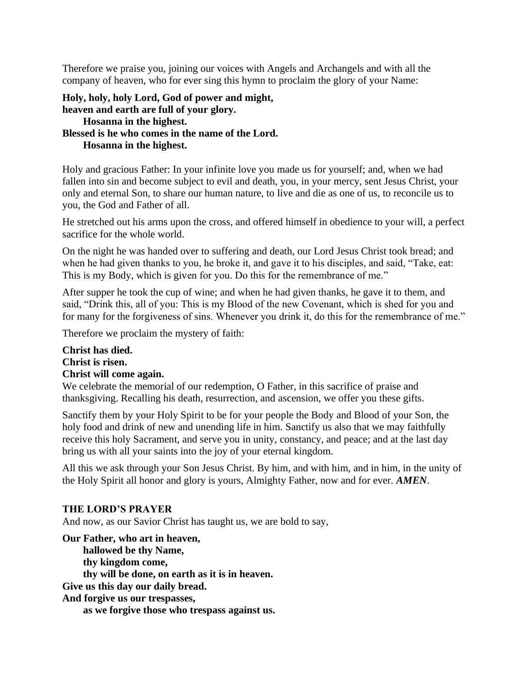Therefore we praise you, joining our voices with Angels and Archangels and with all the company of heaven, who for ever sing this hymn to proclaim the glory of your Name:

**Holy, holy, holy Lord, God of power and might, heaven and earth are full of your glory. Hosanna in the highest. Blessed is he who comes in the name of the Lord. Hosanna in the highest.**

Holy and gracious Father: In your infinite love you made us for yourself; and, when we had fallen into sin and become subject to evil and death, you, in your mercy, sent Jesus Christ, your only and eternal Son, to share our human nature, to live and die as one of us, to reconcile us to you, the God and Father of all.

He stretched out his arms upon the cross, and offered himself in obedience to your will, a perfect sacrifice for the whole world.

On the night he was handed over to suffering and death, our Lord Jesus Christ took bread; and when he had given thanks to you, he broke it, and gave it to his disciples, and said, "Take, eat: This is my Body, which is given for you. Do this for the remembrance of me."

After supper he took the cup of wine; and when he had given thanks, he gave it to them, and said, "Drink this, all of you: This is my Blood of the new Covenant, which is shed for you and for many for the forgiveness of sins. Whenever you drink it, do this for the remembrance of me."

Therefore we proclaim the mystery of faith:

# **Christ has died. Christ is risen. Christ will come again.**

We celebrate the memorial of our redemption, O Father, in this sacrifice of praise and thanksgiving. Recalling his death, resurrection, and ascension, we offer you these gifts.

Sanctify them by your Holy Spirit to be for your people the Body and Blood of your Son, the holy food and drink of new and unending life in him. Sanctify us also that we may faithfully receive this holy Sacrament, and serve you in unity, constancy, and peace; and at the last day bring us with all your saints into the joy of your eternal kingdom.

All this we ask through your Son Jesus Christ. By him, and with him, and in him, in the unity of the Holy Spirit all honor and glory is yours, Almighty Father, now and for ever. *AMEN*.

### **THE LORD'S PRAYER**

And now, as our Savior Christ has taught us, we are bold to say,

**Our Father, who art in heaven, hallowed be thy Name, thy kingdom come, thy will be done, on earth as it is in heaven. Give us this day our daily bread. And forgive us our trespasses, as we forgive those who trespass against us.**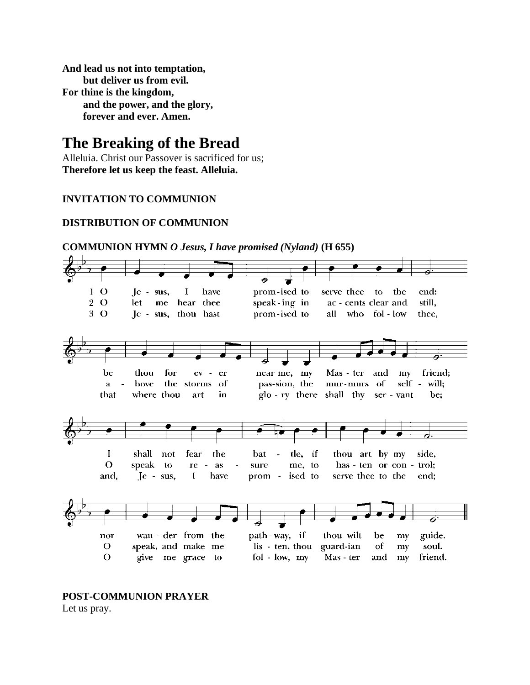**And lead us not into temptation, but deliver us from evil. For thine is the kingdom, and the power, and the glory, forever and ever. Amen.**

# **The Breaking of the Bread**

Alleluia. Christ our Passover is sacrificed for us; **Therefore let us keep the feast. Alleluia.**

# **INVITATION TO COMMUNION**

# **DISTRIBUTION OF COMMUNION**



**COMMUNION HYMN** *O Jesus, I have promised (Nyland)* **(H 655)**

**POST-COMMUNION PRAYER** Let us pray.